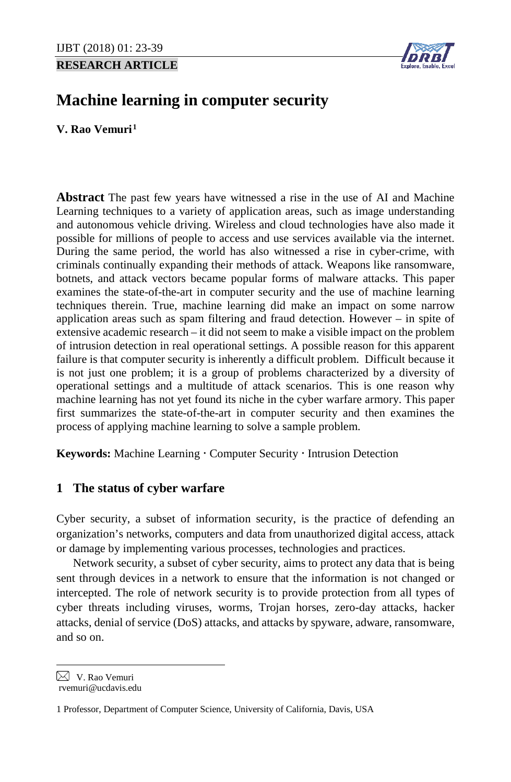# **RESEARCH ARTICLE**



# **Machine learning in computer security**

**V. Rao Vemuri[1](#page-0-0)**

**Abstract** The past few years have witnessed a rise in the use of AI and Machine Learning techniques to a variety of application areas, such as image understanding and autonomous vehicle driving. Wireless and cloud technologies have also made it possible for millions of people to access and use services available via the internet. During the same period, the world has also witnessed a rise in cyber-crime, with criminals continually expanding their methods of attack. Weapons like ransomware, botnets, and attack vectors became popular forms of malware attacks. This paper examines the state-of-the-art in computer security and the use of machine learning techniques therein. True, machine learning did make an impact on some narrow application areas such as spam filtering and fraud detection. However – in spite of extensive academic research – it did not seem to make a visible impact on the problem of intrusion detection in real operational settings. A possible reason for this apparent failure is that computer security is inherently a difficult problem. Difficult because it is not just one problem; it is a group of problems characterized by a diversity of operational settings and a multitude of attack scenarios. This is one reason why machine learning has not yet found its niche in the cyber warfare armory. This paper first summarizes the state-of-the-art in computer security and then examines the process of applying machine learning to solve a sample problem.

Keywords: Machine Learning · Computer Security · Intrusion Detection

# **1 The status of cyber warfare**

Cyber security, a subset of information security, is the practice of defending an organization's networks, computers and data from unauthorized digital access, attack or damage by implementing various processes, technologies and practices.

Network security, a subset of cyber security, aims to protect any data that is being sent through devices in a network to ensure that the information is not changed or intercepted. The role of network security is to provide protection from all types of cyber threats including viruses, worms, Trojan horses, zero-day attacks, hacker attacks, denial of service (DoS) attacks, and attacks by spyware, adware, ransomware, and so on.

<span id="page-0-0"></span> $\boxtimes$  V. Rao Vemuri

rvemuri@ucdavis.edu

<sup>1</sup> Professor, Department of Computer Science, University of California, Davis, USA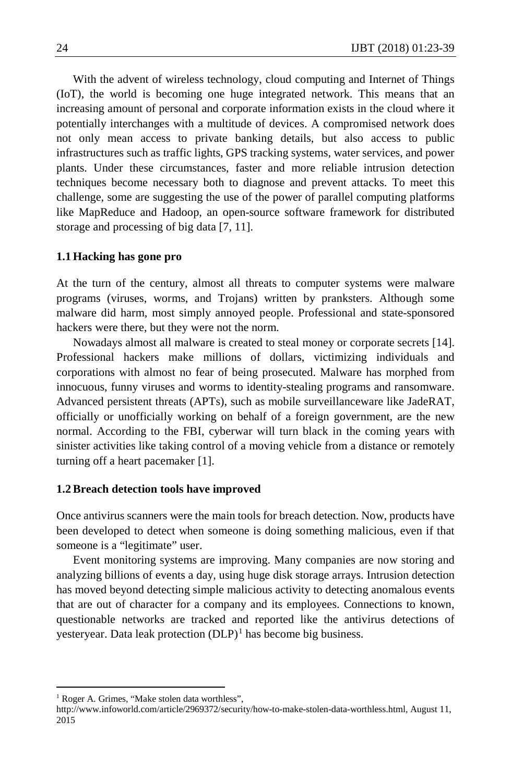With the advent of wireless technology, cloud computing and Internet of Things (IoT), the world is becoming one huge integrated network. This means that an increasing amount of personal and corporate information exists in the cloud where it potentially interchanges with a multitude of devices. A compromised network does not only mean access to private banking details, but also access to public infrastructures such as traffic lights, GPS tracking systems, water services, and power plants. Under these circumstances, faster and more reliable intrusion detection techniques become necessary both to diagnose and prevent attacks. To meet this challenge, some are suggesting the use of the power of parallel computing platforms like MapReduce and Hadoop, an open-source software framework for distributed storage and processing of big data [7, 11].

#### **1.1 Hacking has gone pro**

At the turn of the century, almost all threats to computer systems were malware programs (viruses, worms, and Trojans) written by pranksters. Although some malware did harm, most simply annoyed people. Professional and state-sponsored hackers were there, but they were not the norm.

Nowadays almost all malware is created to steal money or corporate secrets [14]. Professional hackers make millions of dollars, victimizing individuals and corporations with almost no fear of being prosecuted. Malware has morphed from innocuous, funny viruses and worms to identity-stealing programs and ransomware. Advanced persistent threats (APTs), such as mobile surveillanceware like JadeRAT, officially or unofficially working on behalf of a foreign government, are the new normal. According to the FBI, cyberwar will turn black in the coming years with sinister activities like taking control of a moving vehicle from a distance or remotely turning off a heart pacemaker [1].

#### **1.2Breach detection tools have improved**

Once antivirus scanners were the main tools for breach detection. Now, products have been developed to detect when someone is doing something malicious, even if that someone is a "legitimate" user.

Event monitoring systems are improving. Many companies are now storing and analyzing billions of events a day, using huge disk storage arrays. Intrusion detection has moved beyond detecting simple malicious activity to detecting anomalous events that are out of character for a company and its employees. Connections to known, questionable networks are tracked and reported like the antivirus detections of yesteryear. Data leak protection  $(DLP)^1$  $(DLP)^1$  has become big business.

<span id="page-1-0"></span><sup>&</sup>lt;sup>1</sup> Roger A. Grimes, "Make stolen data worthless",

http://www.infoworld.com/article/2969372/security/how-to-make-stolen-data-worthless.html, August 11, 2015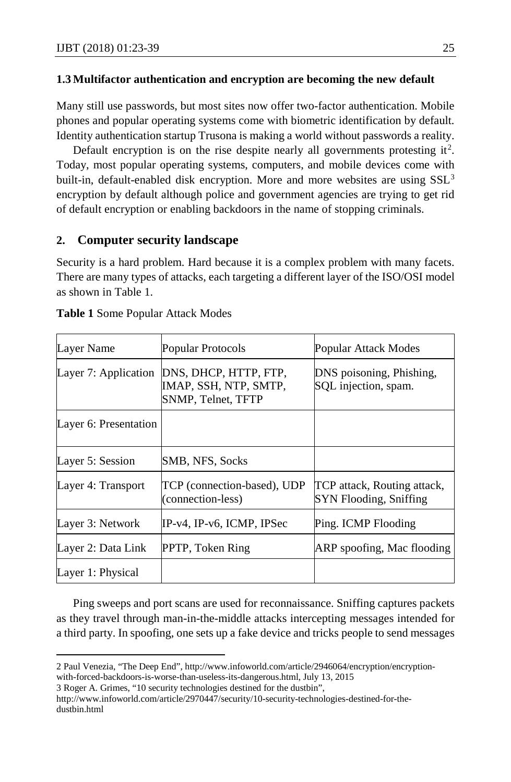### **1.3 Multifactor authentication and encryption are becoming the new default**

Many still use passwords, but most sites now offer two-factor authentication. Mobile phones and popular operating systems come with biometric identification by default. Identity authentication startup Trusona is making a world without passwords a reality.

Default encryption is on the rise despite nearly all governments protesting it<sup>[2](#page-2-0)</sup>. Today, most popular operating systems, computers, and mobile devices come with built-in, default-enabled disk encryption. More and more websites are using  $SSL<sup>3</sup>$  $SSL<sup>3</sup>$  $SSL<sup>3</sup>$ encryption by default although police and government agencies are trying to get rid of default encryption or enabling backdoors in the name of stopping criminals.

# **2. Computer security landscape**

Security is a hard problem. Hard because it is a complex problem with many facets. There are many types of attacks, each targeting a different layer of the ISO/OSI model as shown in Table 1.

| Layer Name            | Popular Protocols                                                    | Popular Attack Modes                                  |  |  |  |  |
|-----------------------|----------------------------------------------------------------------|-------------------------------------------------------|--|--|--|--|
| Layer 7: Application  | DNS, DHCP, HTTP, FTP,<br>IMAP, SSH, NTP, SMTP,<br>SNMP, Telnet, TFTP | DNS poisoning, Phishing,<br>SQL injection, spam.      |  |  |  |  |
| Layer 6: Presentation |                                                                      |                                                       |  |  |  |  |
| Layer 5: Session      | SMB, NFS, Socks                                                      |                                                       |  |  |  |  |
| Layer 4: Transport    | TCP (connection-based), UDP<br>(connection-less)                     | TCP attack, Routing attack,<br>SYN Flooding, Sniffing |  |  |  |  |
| Layer 3: Network      | IP-v4, IP-v6, ICMP, IPSec                                            | Ping. ICMP Flooding                                   |  |  |  |  |
| Layer 2: Data Link    | PPTP, Token Ring                                                     | ARP spoofing, Mac flooding                            |  |  |  |  |
| Layer 1: Physical     |                                                                      |                                                       |  |  |  |  |

**Table 1** Some Popular Attack Modes

Ping sweeps and port scans are used for reconnaissance. Sniffing captures packets as they travel through man-in-the-middle attacks intercepting messages intended for a third party. In spoofing, one sets up a fake device and tricks people to send messages

<span id="page-2-1"></span>3 Roger A. Grimes, "10 security technologies destined for the dustbin",

l

<span id="page-2-0"></span><sup>2</sup> Paul Venezia, "The Deep End"[, http://www.infoworld.com/article/2946064/encryption/encryption](http://www.infoworld.com/article/2946064/encryption/encryption-with-forced-backdoors-is-worse-than-useless-its-dangerous.html)[with-forced-backdoors-is-worse-than-useless-its-dangerous.html,](http://www.infoworld.com/article/2946064/encryption/encryption-with-forced-backdoors-is-worse-than-useless-its-dangerous.html) July 13, 2015

http://www.infoworld.com/article/2970447/security/10-security-technologies-destined-for-thedustbin.html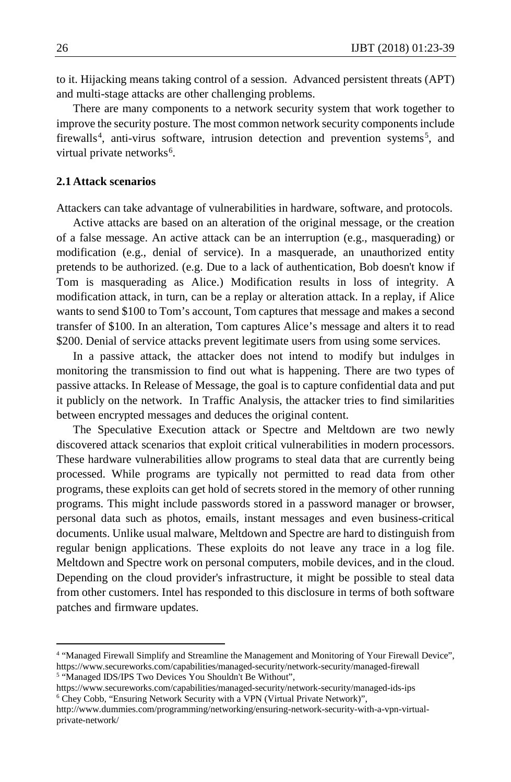to it. Hijacking means taking control of a session. Advanced persistent threats (APT) and multi-stage attacks are other challenging problems.

There are many components to a network security system that work together to improve the security posture. The most common network security components include firewalls<sup>[4](#page-3-0)</sup>, anti-virus software, intrusion detection and prevention systems<sup>[5](#page-3-1)</sup>, and virtual private networks<sup>[6](#page-3-2)</sup>.

# **2.1 Attack scenarios**

Attackers can take advantage of vulnerabilities in hardware, software, and protocols.

Active attacks are based on an alteration of the original message, or the creation of a false message. An active attack can be an interruption (e.g., masquerading) or modification (e.g., denial of service). In a masquerade, an unauthorized entity pretends to be authorized. (e.g. Due to a lack of authentication, Bob doesn't know if Tom is masquerading as Alice.) Modification results in loss of integrity. A modification attack, in turn, can be a replay or alteration attack. In a replay, if Alice wants to send \$100 to Tom's account, Tom captures that message and makes a second transfer of \$100. In an alteration, Tom captures Alice's message and alters it to read \$200. Denial of service attacks prevent legitimate users from using some services.

In a passive attack, the attacker does not intend to modify but indulges in monitoring the transmission to find out what is happening. There are two types of passive attacks. In Release of Message, the goal is to capture confidential data and put it publicly on the network. In Traffic Analysis, the attacker tries to find similarities between encrypted messages and deduces the original content.

The Speculative Execution attack or Spectre and Meltdown are two newly discovered attack scenarios that exploit critical vulnerabilities in modern processors. These hardware vulnerabilities allow programs to steal data that are currently being processed. While programs are typically not permitted to read data from other programs, these exploits can get hold of secrets stored in the memory of other running programs. This might include passwords stored in a password manager or browser, personal data such as photos, emails, instant messages and even business-critical documents. Unlike usual malware, Meltdown and Spectre are hard to distinguish from regular benign applications. These exploits do not leave any trace in a log file. Meltdown and Spectre work on personal computers, mobile devices, and in the cloud. Depending on the cloud provider's infrastructure, it might be possible to steal data from other customers. Intel has responded to this disclosure in terms of both software patches and firmware updates.

<span id="page-3-0"></span><sup>4</sup> "Managed Firewall Simplify and Streamline the Management and Monitoring of Your Firewall Device", https://www.secureworks.com/capabilities/managed-security/network-security/managed-firewall <sup>5</sup> "Managed IDS/IPS Two Devices You Shouldn't Be Without",

<span id="page-3-2"></span><span id="page-3-1"></span>https://www.secureworks.com/capabilities/managed-security/network-security/managed-ids-ips <sup>6</sup> Chey Cobb, "Ensuring Network Security with a VPN (Virtual Private Network)",

http://www.dummies.com/programming/networking/ensuring-network-security-with-a-vpn-virtualprivate-network/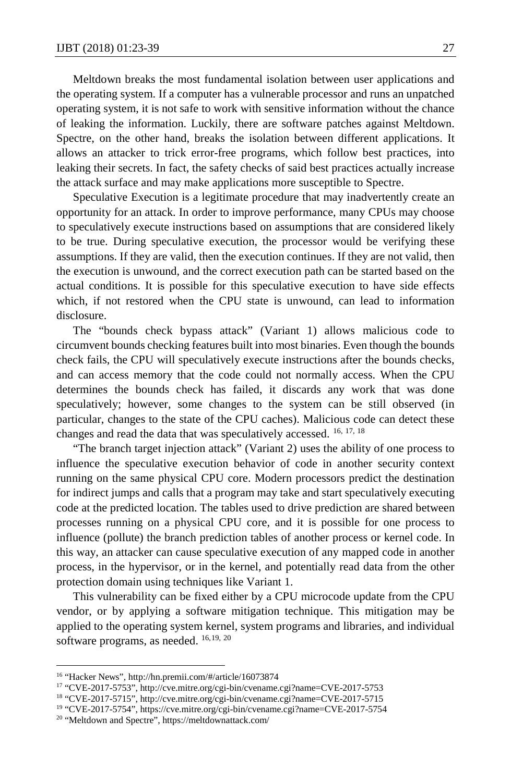Meltdown breaks the most fundamental isolation between user applications and the operating system. If a computer has a vulnerable processor and runs an unpatched operating system, it is not safe to work with sensitive information without the chance of leaking the information. Luckily, there are software patches against Meltdown. Spectre, on the other hand, breaks the isolation between different applications. It allows an attacker to trick error-free programs, which follow best practices, into leaking their secrets. In fact, the safety checks of said best practices actually increase the attack surface and may make applications more susceptible to Spectre.

Speculative Execution is a legitimate procedure that may inadvertently create an opportunity for an attack. In order to improve performance, many CPUs may choose to speculatively execute instructions based on assumptions that are considered likely to be true. During speculative execution, the processor would be verifying these assumptions. If they are valid, then the execution continues. If they are not valid, then the execution is unwound, and the correct execution path can be started based on the actual conditions. It is possible for this speculative execution to have side effects which, if not restored when the CPU state is unwound, can lead to information disclosure.

The "bounds check bypass attack" (Variant 1) allows malicious code to circumvent bounds checking features built into most binaries. Even though the bounds check fails, the CPU will speculatively execute instructions after the bounds checks, and can access memory that the code could not normally access. When the CPU determines the bounds check has failed, it discards any work that was done speculatively; however, some changes to the system can be still observed (in particular, changes to the state of the CPU caches). Malicious code can detect these changes and read the data that was speculatively accessed. [16,](#page-4-0) [17,](#page-4-1) [18](#page-4-2)

"The branch target injection attack" (Variant 2) uses the ability of one process to influence the speculative execution behavior of code in another security context running on the same physical CPU core. Modern processors predict the destination for indirect jumps and calls that a program may take and start speculatively executing code at the predicted location. The tables used to drive prediction are shared between processes running on a physical CPU core, and it is possible for one process to influence (pollute) the branch prediction tables of another process or kernel code. In this way, an attacker can cause speculative execution of any mapped code in another process, in the hypervisor, or in the kernel, and potentially read data from the other protection domain using techniques like Variant 1.

This vulnerability can be fixed either by a CPU microcode update from the CPU vendor, or by applying a software mitigation technique. This mitigation may be applied to the operating system kernel, system programs and libraries, and individual software programs, as needed. 16,[19,](#page-4-3) [20](#page-4-4)

<span id="page-4-0"></span><sup>16</sup> "Hacker News", http://hn.premii.com/#/article/16073874

<span id="page-4-1"></span><sup>17</sup> "CVE-2017-5753", http://cve.mitre.org/cgi-bin/cvename.cgi?name=CVE-2017-5753

<span id="page-4-2"></span><sup>18</sup> "CVE-2017-5715", http://cve.mitre.org/cgi-bin/cvename.cgi?name=CVE-2017-5715

<span id="page-4-3"></span><sup>19</sup> "CVE-2017-5754", https://cve.mitre.org/cgi-bin/cvename.cgi?name=CVE-2017-5754

<span id="page-4-4"></span><sup>20</sup> "Meltdown and Spectre", https://meltdownattack.com/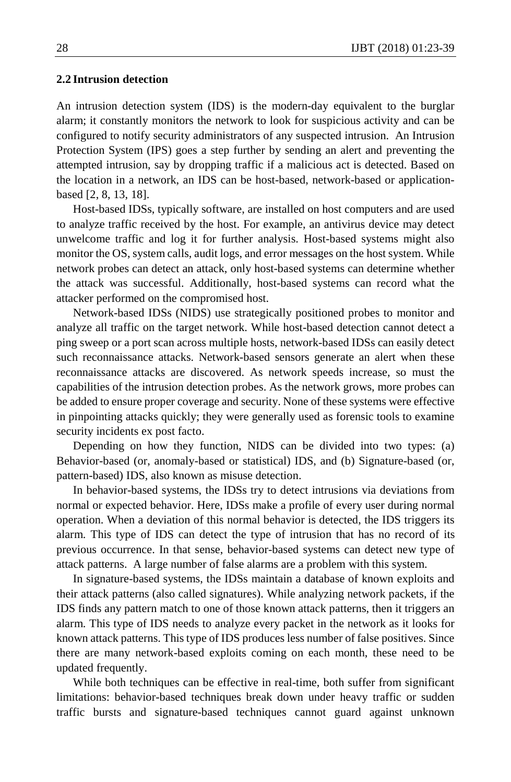# **2.2 Intrusion detection**

An intrusion detection system (IDS) is the modern-day equivalent to the burglar alarm; it constantly monitors the network to look for suspicious activity and can be configured to notify security administrators of any suspected intrusion. An Intrusion Protection System (IPS) goes a step further by sending an alert and preventing the attempted intrusion, say by dropping traffic if a malicious act is detected. Based on the location in a network, an IDS can be host-based, network-based or applicationbased [2, 8, 13, 18].

Host-based IDSs, typically software, are installed on host computers and are used to analyze traffic received by the host. For example, an antivirus device may detect unwelcome traffic and log it for further analysis. Host-based systems might also monitor the OS, system calls, audit logs, and error messages on the host system. While network probes can detect an attack, only host-based systems can determine whether the attack was successful. Additionally, host-based systems can record what the attacker performed on the compromised host.

Network-based IDSs (NIDS) use strategically positioned probes to monitor and analyze all traffic on the target network. While host-based detection cannot detect a ping sweep or a port scan across multiple hosts, network-based IDSs can easily detect such reconnaissance attacks. Network-based sensors generate an alert when these reconnaissance attacks are discovered. As network speeds increase, so must the capabilities of the intrusion detection probes. As the network grows, more probes can be added to ensure proper coverage and security. None of these systems were effective in pinpointing attacks quickly; they were generally used as forensic tools to examine security incidents ex post facto.

Depending on how they function, NIDS can be divided into two types: (a) Behavior-based (or, anomaly-based or statistical) IDS, and (b) Signature-based (or, pattern-based) IDS, also known as misuse detection.

In behavior-based systems, the IDSs try to detect intrusions via deviations from normal or expected behavior. Here, IDSs make a profile of every user during normal operation. When a deviation of this normal behavior is detected, the IDS triggers its alarm. This type of IDS can detect the type of intrusion that has no record of its previous occurrence. In that sense, behavior-based systems can detect new type of attack patterns. A large number of false alarms are a problem with this system.

In signature-based systems, the IDSs maintain a database of known exploits and their attack patterns (also called signatures). While analyzing network packets, if the IDS finds any pattern match to one of those known attack patterns, then it triggers an alarm. This type of IDS needs to analyze every packet in the network as it looks for known attack patterns. This type of IDS produces less number of false positives. Since there are many network-based exploits coming on each month, these need to be updated frequently.

While both techniques can be effective in real-time, both suffer from significant limitations: behavior-based techniques break down under heavy traffic or sudden traffic bursts and signature-based techniques cannot guard against unknown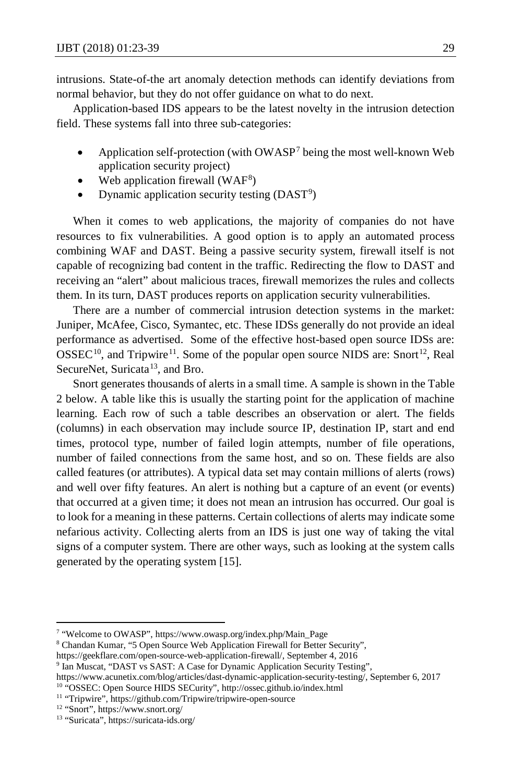intrusions. State-of-the art anomaly detection methods can identify deviations from normal behavior, but they do not offer guidance on what to do next.

Application-based IDS appears to be the latest novelty in the intrusion detection field. These systems fall into three sub-categories:

- Application self-protection (with OWASP<sup>[7](#page-6-0)</sup> being the most well-known Web application security project)
- Web application firewall  $(WAF<sup>8</sup>)$  $(WAF<sup>8</sup>)$  $(WAF<sup>8</sup>)$
- Dynamic application security testing (DAST<sup>[9](#page-6-2)</sup>)

When it comes to web applications, the majority of companies do not have resources to fix vulnerabilities. A good option is to apply an automated process combining WAF and DAST. Being a passive security system, firewall itself is not capable of recognizing bad content in the traffic. Redirecting the flow to DAST and receiving an "alert" about malicious traces, firewall memorizes the rules and collects them. In its turn, DAST produces reports on application security vulnerabilities.

There are a number of commercial intrusion detection systems in the market: Juniper, McAfee, Cisco, Symantec, etc. These IDSs generally do not provide an ideal performance as advertised. Some of the effective host-based open source IDSs are:  $OSSEC<sup>10</sup>$  $OSSEC<sup>10</sup>$  $OSSEC<sup>10</sup>$ , and Tripwire<sup>11</sup>. Some of the popular open source NIDS are: Snort<sup>12</sup>, Real SecureNet, Suricata<sup>13</sup>, and Bro.

Snort generates thousands of alerts in a small time. A sample is shown in the Table 2 below. A table like this is usually the starting point for the application of machine learning. Each row of such a table describes an observation or alert. The fields (columns) in each observation may include source IP, destination IP, start and end times, protocol type, number of failed login attempts, number of file operations, number of failed connections from the same host, and so on. These fields are also called features (or attributes). A typical data set may contain millions of alerts (rows) and well over fifty features. An alert is nothing but a capture of an event (or events) that occurred at a given time; it does not mean an intrusion has occurred. Our goal is to look for a meaning in these patterns. Certain collections of alerts may indicate some nefarious activity. Collecting alerts from an IDS is just one way of taking the vital signs of a computer system. There are other ways, such as looking at the system calls generated by the operating system [15].

<span id="page-6-0"></span><sup>7</sup> "Welcome to OWASP", https://www.owasp.org/index.php/Main\_Page

<span id="page-6-1"></span><sup>8</sup> Chandan Kumar, "5 Open Source Web Application Firewall for Better Security",

https://geekflare.com/open-source-web-application-firewall/, September 4, 2016

<sup>9</sup> Ian Muscat, "DAST vs SAST: A Case for Dynamic Application Security Testing",

<span id="page-6-3"></span><span id="page-6-2"></span>https://www.acunetix.com/blog/articles/dast-dynamic-application-security-testing/, September 6, 2017

<sup>10</sup> "OSSEC: Open Source HIDS SECurity", http://ossec.github.io/index.html

<span id="page-6-4"></span><sup>11</sup> "Tripwire", https://github.com/Tripwire/tripwire-open-source

<span id="page-6-5"></span><sup>12</sup> "Snort", https://www.snort.org/

<span id="page-6-6"></span><sup>13</sup> "Suricata", https://suricata-ids.org/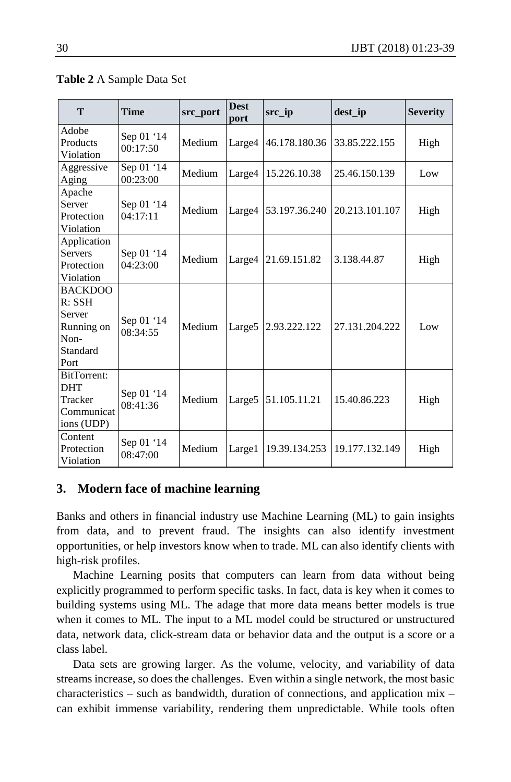| T                                                                              | <b>Time</b>            | src_port | <b>Dest</b><br>port | src_ip        | dest_ip        | <b>Severity</b> |
|--------------------------------------------------------------------------------|------------------------|----------|---------------------|---------------|----------------|-----------------|
| Adobe<br>Products<br>Violation                                                 | Sep 01 '14<br>00:17:50 | Medium   | Large4              | 46.178.180.36 | 33.85.222.155  | High            |
| Aggressive<br>Aging                                                            | Sep 01 '14<br>00:23:00 | Medium   | Large <sub>4</sub>  | 15.226.10.38  | 25.46.150.139  | Low             |
| Apache<br>Server<br>Protection<br>Violation                                    | Sep 01 '14<br>04:17:11 | Medium   | Large4              | 53.197.36.240 | 20.213.101.107 | High            |
| Application<br><b>Servers</b><br>Protection<br>Violation                       | Sep 01 '14<br>04:23:00 | Medium   | Large <sub>4</sub>  | 21.69.151.82  | 3.138.44.87    | High            |
| <b>BACKDOO</b><br>$R:$ SSH<br>Server<br>Running on<br>Non-<br>Standard<br>Port | Sep 01 '14<br>08:34:55 | Medium   | Large <sub>5</sub>  | 2.93.222.122  | 27.131.204.222 | Low             |
| BitTorrent:<br><b>DHT</b><br>Tracker<br>Communicat<br>ions (UDP)               | Sep 01 '14<br>08:41:36 | Medium   | Large <sub>5</sub>  | 51.105.11.21  | 15.40.86.223   | High            |
| Content<br>Protection<br>Violation                                             | Sep 01 '14<br>08:47:00 | Medium   | Large1              | 19.39.134.253 | 19.177.132.149 | High            |

#### **Table 2** A Sample Data Set

# **3. Modern face of machine learning**

Banks and others in financial industry use Machine Learning (ML) to gain insights from data, and to prevent fraud. The insights can also identify investment opportunities, or help investors know when to trade. ML can also identify clients with high-risk profiles.

Machine Learning posits that computers can learn from data without being explicitly programmed to perform specific tasks. In fact, data is key when it comes to building systems using ML. The adage that more data means better models is true when it comes to ML. The input to a ML model could be structured or unstructured data, network data, click-stream data or behavior data and the output is a score or a class label.

Data sets are growing larger. As the volume, velocity, and variability of data streams increase, so does the challenges. Even within a single network, the most basic characteristics – such as bandwidth, duration of connections, and application mix – can exhibit immense variability, rendering them unpredictable. While tools often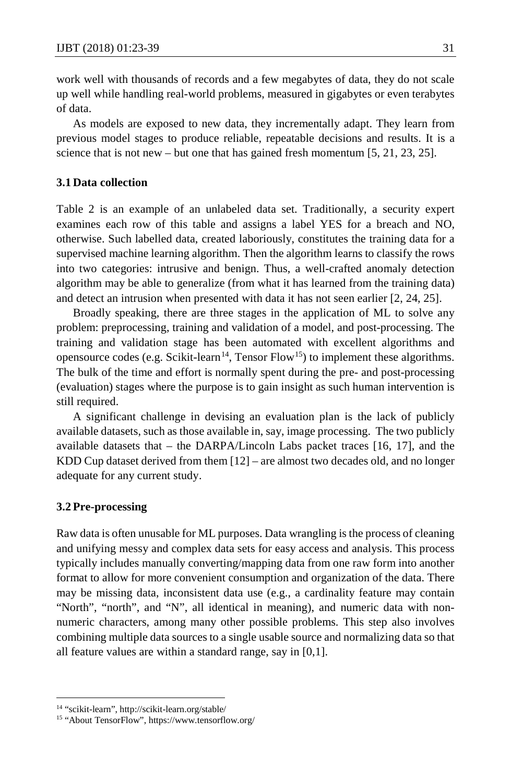work well with thousands of records and a few megabytes of data, they do not scale up well while handling real-world problems, measured in gigabytes or even terabytes of data.

As models are exposed to new data, they incrementally adapt. They learn from previous model stages to produce reliable, repeatable decisions and results. It is a science that is not new – but one that has gained fresh momentum  $[5, 21, 23, 25]$ .

### **3.1 Data collection**

Table 2 is an example of an unlabeled data set. Traditionally, a security expert examines each row of this table and assigns a label YES for a breach and NO, otherwise. Such labelled data, created laboriously, constitutes the training data for a supervised machine learning algorithm. Then the algorithm learns to classify the rows into two categories: intrusive and benign. Thus, a well-crafted anomaly detection algorithm may be able to generalize (from what it has learned from the training data) and detect an intrusion when presented with data it has not seen earlier [2, 24, 25].

Broadly speaking, there are three stages in the application of ML to solve any problem: preprocessing, training and validation of a model, and post-processing. The training and validation stage has been automated with excellent algorithms and opensource codes (e.g. Scikit-learn<sup>14</sup>, Tensor Flow<sup>[15](#page-8-1)</sup>) to implement these algorithms. The bulk of the time and effort is normally spent during the pre- and post-processing (evaluation) stages where the purpose is to gain insight as such human intervention is still required.

A significant challenge in devising an evaluation plan is the lack of publicly available datasets, such as those available in, say, image processing. The two publicly available datasets that – the DARPA/Lincoln Labs packet traces [16, 17], and the KDD Cup dataset derived from them [12] – are almost two decades old, and no longer adequate for any current study.

#### **3.2 Pre-processing**

 $\overline{a}$ 

Raw data is often unusable for ML purposes. Data wrangling is the process of cleaning and unifying messy and complex data sets for easy access and analysis. This process typically includes manually converting/mapping data from one raw form into another format to allow for more convenient consumption and organization of the data. There may be missing data, inconsistent data use (e.g., a cardinality feature may contain "North", "north", and "N", all identical in meaning), and numeric data with nonnumeric characters, among many other possible problems. This step also involves combining multiple data sources to a single usable source and normalizing data so that all feature values are within a standard range, say in [0,1].

<sup>14</sup> "scikit-learn", http://scikit-learn.org/stable/

<span id="page-8-1"></span><span id="page-8-0"></span><sup>15</sup> "About TensorFlow", https://www.tensorflow.org/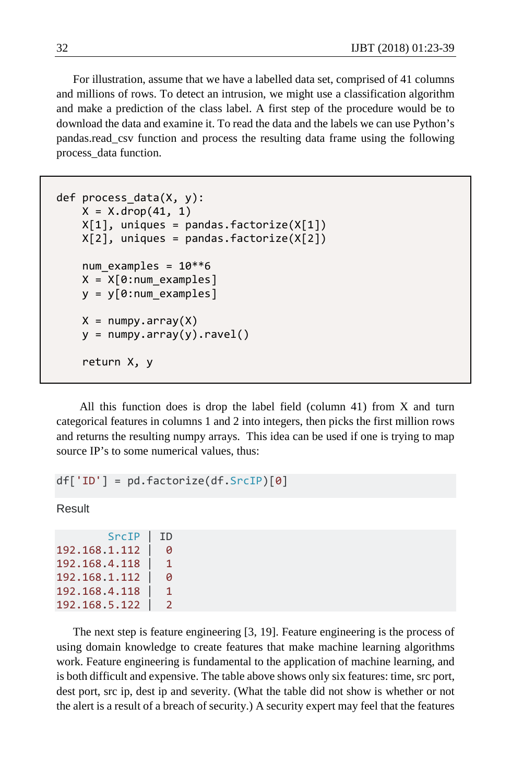For illustration, assume that we have a labelled data set, comprised of 41 columns and millions of rows. To detect an intrusion, we might use a classification algorithm and make a prediction of the class label. A first step of the procedure would be to download the data and examine it. To read the data and the labels we can use Python's pandas.read\_csv function and process the resulting data frame using the following process\_data function.

```
def process_data(X, y):
    X = X.drop(41, 1)X[1], uniques = pandas.factorize(X[1])
    X[2], uniques = pandas.factorize(X[2])
    num examples = 10**6X = X[0:num examples]
    y = y[0:num_examples]X = numpy.array(X)y = numpy.array(y).ravel()
     return X, y
```
All this function does is drop the label field (column 41) from X and turn categorical features in columns 1 and 2 into integers, then picks the first million rows and returns the resulting numpy arrays. This idea can be used if one is trying to map source IP's to some numerical values, thus:

```
df['ID'] = pd.factorize(df.SrcIP)[0]
```
Result

| SrcIP         | ΙD |
|---------------|----|
| 192.168.1.112 | 0  |
| 192.168.4.118 | 1  |
| 192.168.1.112 | 0  |
| 192.168.4.118 | 1  |
| 192.168.5.122 | 2  |

The next step is feature engineering [3, 19]. Feature engineering is the process of using domain knowledge to create features that make machine learning algorithms work. Feature engineering is fundamental to the application of machine learning, and is both difficult and expensive. The table above shows only six features: time, src port, dest port, src ip, dest ip and severity. (What the table did not show is whether or not the alert is a result of a breach of security.) A security expert may feel that the features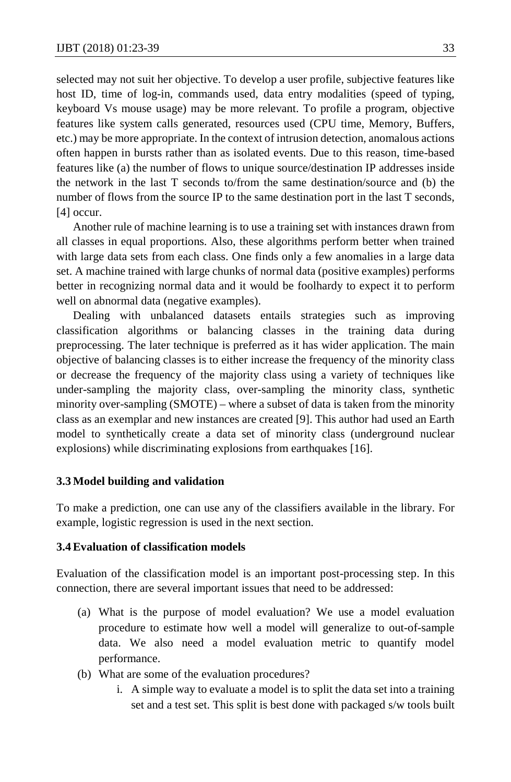selected may not suit her objective. To develop a user profile, subjective features like host ID, time of log-in, commands used, data entry modalities (speed of typing, keyboard Vs mouse usage) may be more relevant. To profile a program, objective features like system calls generated, resources used (CPU time, Memory, Buffers, etc.) may be more appropriate. In the context of intrusion detection, anomalous actions often happen in bursts rather than as isolated events. Due to this reason, time-based features like (a) the number of flows to unique source/destination IP addresses inside the network in the last T seconds to/from the same destination/source and (b) the number of flows from the source IP to the same destination port in the last T seconds, [4] occur.

Another rule of machine learning is to use a training set with instances drawn from all classes in equal proportions. Also, these algorithms perform better when trained with large data sets from each class. One finds only a few anomalies in a large data set. A machine trained with large chunks of normal data (positive examples) performs better in recognizing normal data and it would be foolhardy to expect it to perform well on abnormal data (negative examples).

Dealing with unbalanced datasets entails strategies such as improving classification algorithms or balancing classes in the training data during preprocessing. The later technique is preferred as it has wider application. The main objective of balancing classes is to either increase the frequency of the minority class or decrease the frequency of the majority class using a variety of techniques like under-sampling the majority class, over-sampling the minority class, synthetic minority over-sampling (SMOTE) – where a subset of data is taken from the minority class as an exemplar and new instances are created [9]. This author had used an Earth model to synthetically create a data set of minority class (underground nuclear explosions) while discriminating explosions from earthquakes [16].

#### **3.3 Model building and validation**

To make a prediction, one can use any of the classifiers available in the library. For example, logistic regression is used in the next section.

# **3.4Evaluation of classification models**

Evaluation of the classification model is an important post-processing step. In this connection, there are several important issues that need to be addressed:

- (a) What is the purpose of model evaluation? We use a model evaluation procedure to estimate how well a model will generalize to out-of-sample data. We also need a model evaluation metric to quantify model performance.
- (b) What are some of the evaluation procedures?
	- i. A simple way to evaluate a model is to split the data set into a training set and a test set. This split is best done with packaged s/w tools built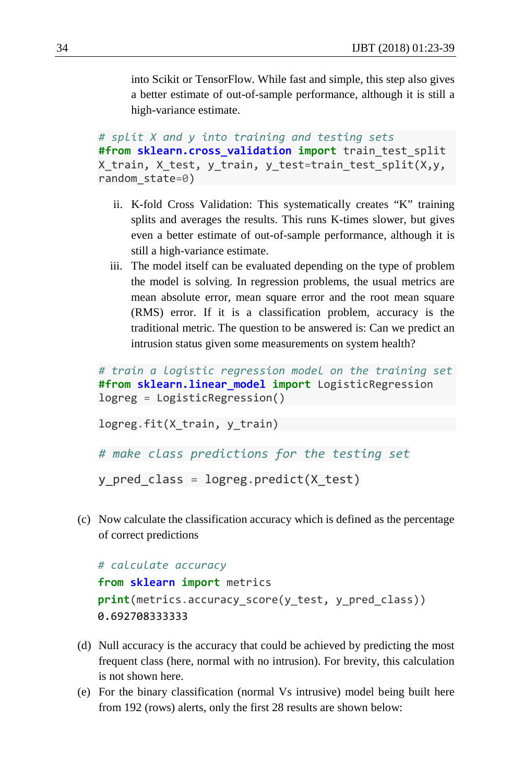into Scikit or TensorFlow. While fast and simple, this step also gives a better estimate of out-of-sample performance, although it is still a high-variance estimate.

```
# split X and y into training and testing sets
#from sklearn.cross_validation import train_test_split
X_train, X_test, y_train, y_test=train_test_split(X,y,
random_state=0)
```
- ii. K-fold Cross Validation: This systematically creates "K" training splits and averages the results. This runs K-times slower, but gives even a better estimate of out-of-sample performance, although it is still a high-variance estimate.
- iii. The model itself can be evaluated depending on the type of problem the model is solving. In regression problems, the usual metrics are mean absolute error, mean square error and the root mean square (RMS) error. If it is a classification problem, accuracy is the traditional metric. The question to be answered is: Can we predict an intrusion status given some measurements on system health?

```
# train a logistic regression model on the training set
#from sklearn.linear_model import LogisticRegression
logreg = LogisticRegression()
```

```
logreg.fit(X train, y train)
```

```
# make class predictions for the testing set
```

```
y pred class = logreg.predict(X test)
```
(c) Now calculate the classification accuracy which is defined as the percentage of correct predictions

```
# calculate accuracy
from sklearn import metrics
print(metrics.accuracy_score(y_test, y_pred_class))
0.692708333333
```
- (d) Null accuracy is the accuracy that could be achieved by predicting the most frequent class (here, normal with no intrusion). For brevity, this calculation is not shown here.
- (e) For the binary classification (normal Vs intrusive) model being built here from 192 (rows) alerts, only the first 28 results are shown below: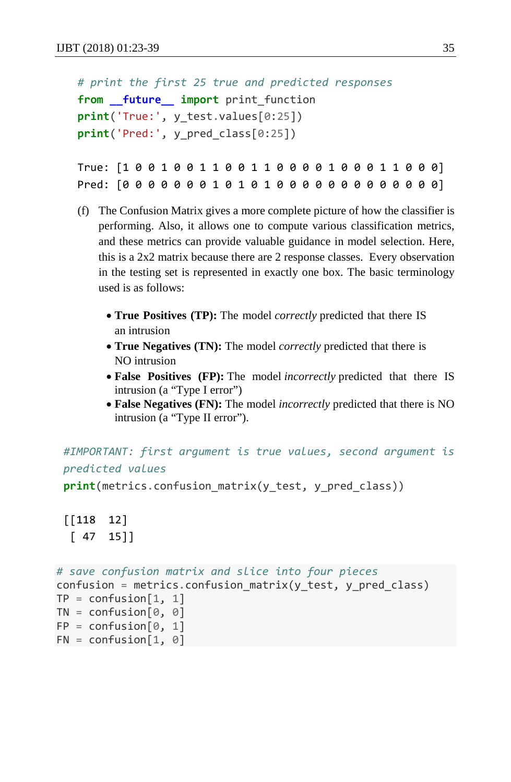```
# print the first 25 true and predicted responses
from __future__ import print_function
print('True:', y_test.values[0:25])
print('Pred:', y_pred_class[0:25])
```

| True: [1001001100110000100011000] |  |  |  |  |  |  |  |  |  |  |  |  |  |
|-----------------------------------|--|--|--|--|--|--|--|--|--|--|--|--|--|
|                                   |  |  |  |  |  |  |  |  |  |  |  |  |  |

- (f) The Confusion Matrix gives a more complete picture of how the classifier is performing. Also, it allows one to compute various classification metrics, and these metrics can provide valuable guidance in model selection. Here, this is a 2x2 matrix because there are 2 response classes. Every observation in the testing set is represented in exactly one box. The basic terminology used is as follows:
	- **True Positives (TP):** The model *correctly* predicted that there IS an intrusion
	- **True Negatives (TN):** The model *correctly* predicted that there is NO intrusion
	- **False Positives (FP):** The model *incorrectly* predicted that there IS intrusion (a "Type I error")
	- **False Negatives (FN):** The model *incorrectly* predicted that there is NO intrusion (a "Type II error").

```
#IMPORTANT: first argument is true values, second argument is 
predicted values
```
print(metrics.confusion matrix(y test, y pred class))

```
[[118 12]
 [ 47 15]]
```

```
# save confusion matrix and slice into four pieces
confusion = metrics.confusion_matrix(y_test, y_pred_class)
TP = \text{confusion}[1, 1]TN = \text{confusion}[0, 0]FP = configuration[0, 1]FN = \text{confusion}[1, 0]
```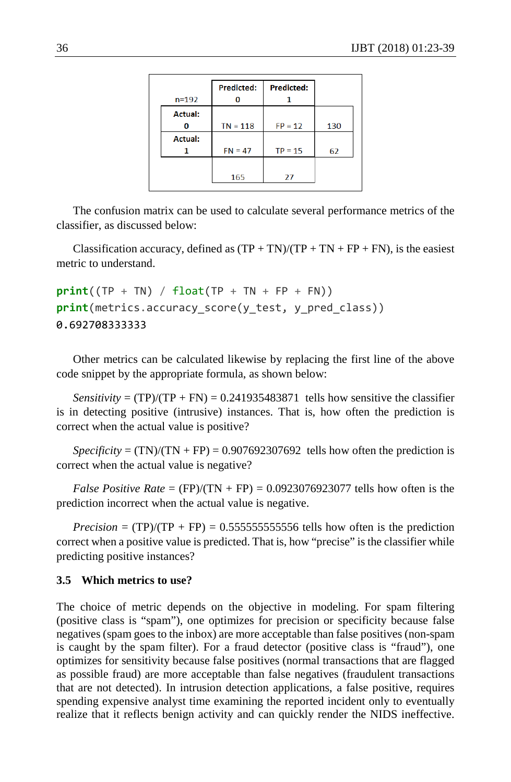|                | <b>Predicted:</b> | <b>Predicted:</b> |     |
|----------------|-------------------|-------------------|-----|
| $n = 192$      |                   |                   |     |
| <b>Actual:</b> |                   |                   |     |
| Ω              | $TN = 118$        | $FP = 12$         | 130 |
| <b>Actual:</b> |                   |                   |     |
|                | $FN = 47$         | $TP = 15$         | 62  |
|                |                   |                   |     |
|                | 165               | 27                |     |
|                |                   |                   |     |

The confusion matrix can be used to calculate several performance metrics of the classifier, as discussed below:

Classification accuracy, defined as  $(TP + TN)/(TP + TN + FP + FN)$ , is the easiest metric to understand.

```
print((TP + TN) / float(TP + TN + FP + FN))print(metrics.accuracy score(y test, y pred class))
0.692708333333
```
Other metrics can be calculated likewise by replacing the first line of the above code snippet by the appropriate formula, as shown below:

*Sensitivity* =  $(TP)/(TP + FN)$  = 0.241935483871 tells how sensitive the classifier is in detecting positive (intrusive) instances. That is, how often the prediction is correct when the actual value is positive?

*Specificity* =  $(TN)/(TN + FP)$  = 0.907692307692 tells how often the prediction is correct when the actual value is negative?

*False Positive Rate* = (FP)/(TN + FP) =  $0.0923076923077$  tells how often is the prediction incorrect when the actual value is negative.

*Precision* =  $(TP)/(TP + FP)$  = 0.55555555555556 tells how often is the prediction correct when a positive value is predicted. That is, how "precise" is the classifier while predicting positive instances?

### **3.5 Which metrics to use?**

The choice of metric depends on the objective in modeling. For spam filtering (positive class is "spam"), one optimizes for precision or specificity because false negatives (spam goes to the inbox) are more acceptable than false positives (non-spam is caught by the spam filter). For a fraud detector (positive class is "fraud"), one optimizes for sensitivity because false positives (normal transactions that are flagged as possible fraud) are more acceptable than false negatives (fraudulent transactions that are not detected). In intrusion detection applications, a false positive, requires spending expensive analyst time examining the reported incident only to eventually realize that it reflects benign activity and can quickly render the NIDS ineffective.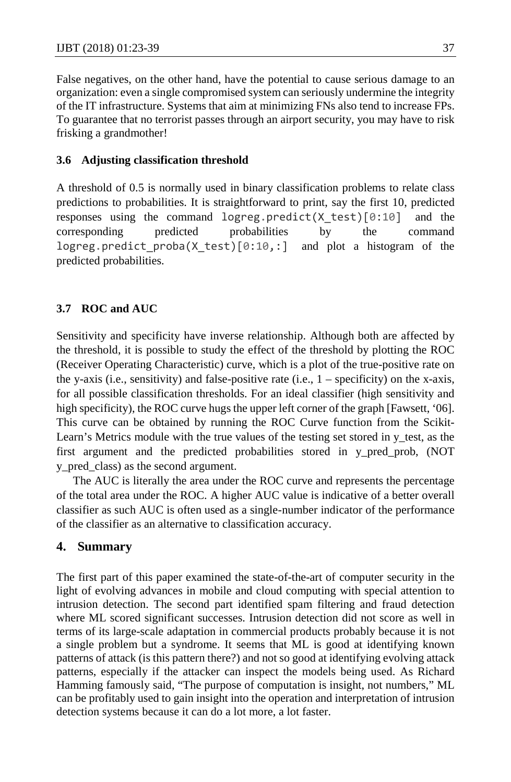False negatives, on the other hand, have the potential to cause serious damage to an organization: even a single compromised system can seriously undermine the integrity of the IT infrastructure. Systems that aim at minimizing FNs also tend to increase FPs. To guarantee that no terrorist passes through an airport security, you may have to risk frisking a grandmother!

### **3.6 Adjusting classification threshold**

A threshold of 0.5 is normally used in binary classification problems to relate class predictions to probabilities. It is straightforward to print, say the first 10, predicted responses using the command logreg.predict(X\_test)[0:10] and the corresponding predicted probabilities by the command logreg.predict proba(X test)[0:10,:] and plot a histogram of the predicted probabilities.

# **3.7 ROC and AUC**

Sensitivity and specificity have inverse relationship. Although both are affected by the threshold, it is possible to study the effect of the threshold by plotting the ROC (Receiver Operating Characteristic) curve, which is a plot of the true-positive rate on the y-axis (i.e., sensitivity) and false-positive rate (i.e.,  $1$  – specificity) on the x-axis, for all possible classification thresholds. For an ideal classifier (high sensitivity and high specificity), the ROC curve hugs the upper left corner of the graph [Fawsett, '06]. This curve can be obtained by running the ROC Curve function from the Scikit-Learn's Metrics module with the true values of the testing set stored in y\_test, as the first argument and the predicted probabilities stored in y\_pred\_prob, (NOT y\_pred\_class) as the second argument.

The AUC is literally the area under the ROC curve and represents the percentage of the total area under the ROC. A higher AUC value is indicative of a better overall classifier as such AUC is often used as a single-number indicator of the performance of the classifier as an alternative to classification accuracy.

### **4. Summary**

The first part of this paper examined the state-of-the-art of computer security in the light of evolving advances in mobile and cloud computing with special attention to intrusion detection. The second part identified spam filtering and fraud detection where ML scored significant successes. Intrusion detection did not score as well in terms of its large-scale adaptation in commercial products probably because it is not a single problem but a syndrome. It seems that ML is good at identifying known patterns of attack (is this pattern there?) and not so good at identifying evolving attack patterns, especially if the attacker can inspect the models being used. As Richard Hamming famously said, "The purpose of computation is insight, not numbers," ML can be profitably used to gain insight into the operation and interpretation of intrusion detection systems because it can do a lot more, a lot faster.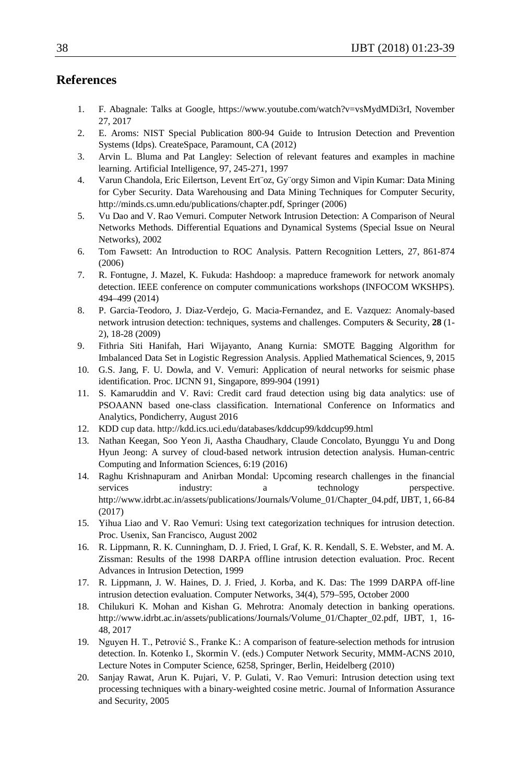# **References**

- 1. F. Abagnale: Talks at Google, https://www.youtube.com/watch?v=vsMydMDi3rI, November 27, 2017
- 2. E. Aroms: NIST Special Publication 800-94 Guide to Intrusion Detection and Prevention Systems (Idps). CreateSpace, Paramount, CA (2012)
- 3. Arvin L. Bluma and Pat Langley: Selection of relevant features and examples in machine learning. Artificial Intelligence, 97, 245-271, 1997
- 4. Varun Chandola, Eric Eilertson, Levent Ert¨oz, Gy¨orgy Simon and Vipin Kumar: Data Mining for Cyber Security. Data Warehousing and Data Mining Techniques for Computer Security, http://minds.cs.umn.edu/publications/chapter.pdf, Springer (2006)
- 5. Vu Dao and V. Rao Vemuri. Computer Network Intrusion Detection: A Comparison of Neural Networks Methods. Differential Equations and Dynamical Systems (Special Issue on Neural Networks), 2002
- 6. Tom Fawsett: An Introduction to ROC Analysis. Pattern Recognition Letters, 27, 861-874 (2006)
- 7. R. Fontugne, J. Mazel, K. Fukuda: Hashdoop: a mapreduce framework for network anomaly detection. IEEE conference on computer communications workshops (INFOCOM WKSHPS). 494–499 (2014)
- 8. P. Garcia-Teodoro, J. Diaz-Verdejo, G. Macia-Fernandez, and E. Vazquez: Anomaly-based network intrusion detection: techniques, systems and challenges. Computers & Security, **28** (1- 2), 18-28 (2009)
- 9. Fithria Siti Hanifah, Hari Wijayanto, Anang Kurnia: SMOTE Bagging Algorithm for Imbalanced Data Set in Logistic Regression Analysis. Applied Mathematical Sciences, 9, 2015
- 10. G.S. Jang, F. U. Dowla, and V. Vemuri: Application of neural networks for seismic phase identification. Proc. IJCNN 91, Singapore, 899-904 (1991)
- 11. S. Kamaruddin and V. Ravi: Credit card fraud detection using big data analytics: use of PSOAANN based one-class classification. International Conference on Informatics and Analytics, Pondicherry, August 2016
- 12. KDD cup data. http://kdd.ics.uci.edu/databases/kddcup99/kddcup99.html
- 13. Nathan Keegan, Soo Yeon Ji, Aastha Chaudhary, Claude Concolato, Byunggu Yu and Dong Hyun Jeong: A survey of cloud-based network intrusion detection analysis. Human-centric Computing and Information Sciences, 6:19 (2016)
- 14. Raghu Krishnapuram and Anirban Mondal: Upcoming research challenges in the financial services industry: a technology perspective. http://www.idrbt.ac.in/assets/publications/Journals/Volume\_01/Chapter\_04.pdf, IJBT, 1, 66-84 (2017)
- 15. Yihua Liao and V. Rao Vemuri: Using text categorization techniques for intrusion detection. Proc. Usenix, San Francisco, August 2002
- 16. R. Lippmann, R. K. Cunningham, D. J. Fried, I. Graf, K. R. Kendall, S. E. Webster, and M. A. Zissman: Results of the 1998 DARPA offline intrusion detection evaluation. Proc. Recent Advances in Intrusion Detection, 1999
- 17. R. Lippmann, J. W. Haines, D. J. Fried, J. Korba, and K. Das: The 1999 DARPA off-line intrusion detection evaluation. Computer Networks, 34(4), 579–595, October 2000
- 18. Chilukuri K. Mohan and Kishan G. Mehrotra: Anomaly detection in banking operations. http://www.idrbt.ac.in/assets/publications/Journals/Volume\_01/Chapter\_02.pdf, IJBT, 1, 16- 48, 2017
- 19. Nguyen H. T., Petrović S., Franke K.: A comparison of feature-selection methods for intrusion detection. In. Kotenko I., Skormin V. (eds.) Computer Network Security, MMM-ACNS 2010, Lecture Notes in Computer Science, 6258, Springer, Berlin, Heidelberg (2010)
- 20. Sanjay Rawat, Arun K. Pujari, V. P. Gulati, V. Rao Vemuri: Intrusion detection using text processing techniques with a binary-weighted cosine metric. Journal of Information Assurance and Security, 2005